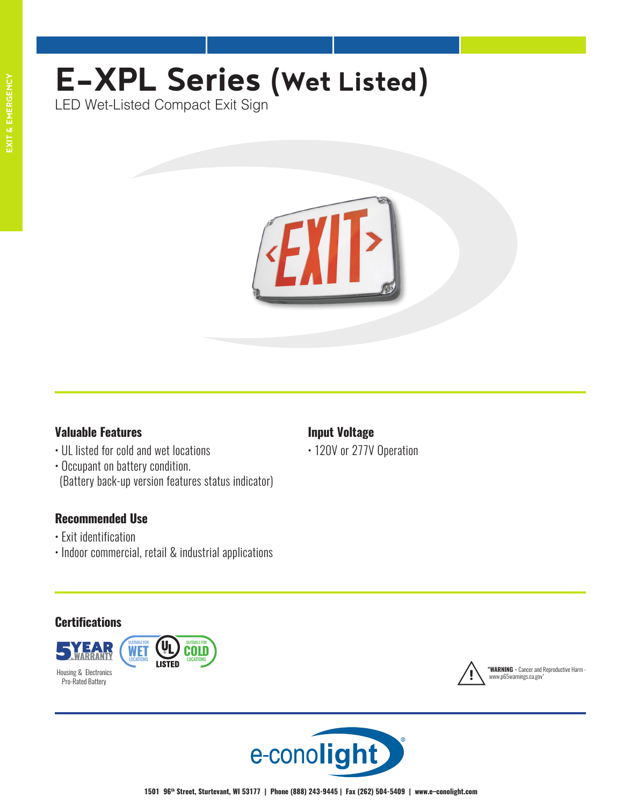# **EXIT & EMERGENCY**

# **E-XPL Series (Wet Listed)**

LED Wet-Listed Compact Exit Sign



# **Valuable Features**

- UL listed for cold and wet locations
- Occupant on battery condition. (Battery back-up version features status indicator)

# **Recommended Use**

- Exit identification
- Indoor commercial, retail & industrial applications

# **Input Voltage**

• 120V or 277V Operation

# **Certifications**





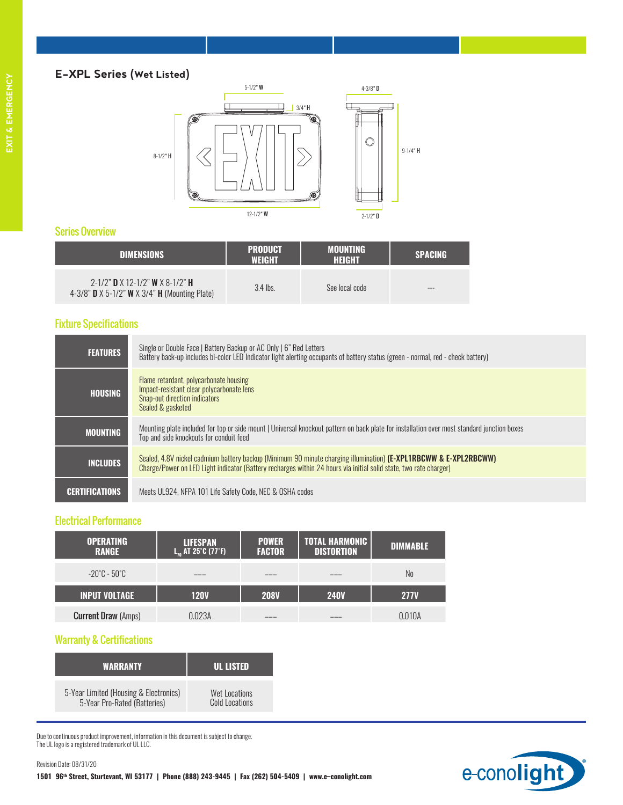## **E-XPL Series (Wet Listed)**



#### Series Overview

| <b>DIMENSIONS</b>                                                                                                      | <b>PRODUCT</b><br><b>WEIGHT</b> | <b>MOUNTING</b><br><b>HEIGHT</b> | <b>SPACING</b> |
|------------------------------------------------------------------------------------------------------------------------|---------------------------------|----------------------------------|----------------|
| $2-1/2$ " D X 12-1/2" W X 8-1/2" H<br>4-3/8" <b>D</b> $\times$ 5-1/2" <b>W</b> $\times$ 3/4" <b>H</b> (Mounting Plate) | $3.4$ lbs.                      | See local code                   | $-$            |

#### Fixture Specifications

| <b>FEATURES</b>       | Single or Double Face   Battery Backup or AC Only   6" Red Letters<br>Battery back-up includes bi-color LED Indicator light alerting occupants of battery status (green - normal, red - check battery)                                |
|-----------------------|---------------------------------------------------------------------------------------------------------------------------------------------------------------------------------------------------------------------------------------|
| <b>HOUSING</b>        | Flame retardant, polycarbonate housing<br>Impact-resistant clear polycarbonate lens<br>Snap-out direction indicators<br>Sealed & gasketed                                                                                             |
| <b>MOUNTING</b>       | Mounting plate included for top or side mount   Universal knockout pattern on back plate for installation over most standard junction boxes<br>Top and side knockouts for conduit feed                                                |
| <b>INCLUDES</b>       | Sealed, 4.8V nickel cadmium battery backup (Minimum 90 minute charging illumination) (E-XPL1RBCWW & E-XPL2RBCWW)<br>Charge/Power on LED Light indicator (Battery recharges within 24 hours via initial solid state, two rate charger) |
| <b>CERTIFICATIONS</b> | Meets UL924, NFPA 101 Life Safety Code, NEC & OSHA codes                                                                                                                                                                              |

#### Electrical Performance

| <b>OPERATING</b><br><b>RANGE</b> | <b>LIFESPAN</b><br>$L_{10}$ AT 25°C (77°F) | <b>POWER</b><br><b>FACTOR</b> | <b>TOTAL HARMONIC</b><br><b>DISTORTION</b> | <b>DIMMABLE</b> |
|----------------------------------|--------------------------------------------|-------------------------------|--------------------------------------------|-----------------|
| -20°C - 50°C                     |                                            |                               |                                            | No              |
| <b>INPUT VOLTAGE</b>             | <b>120V</b>                                | <b>208V</b>                   | <b>240V</b>                                | <b>277V</b>     |
| <b>Current Draw (Amps)</b>       | N.N23A                                     |                               |                                            | በ በ1በል          |

#### Warranty & Certifications

Revision Date: 08/31/20

| <b>WARRANTY</b>                        | <b>UL LISTED</b> |
|----------------------------------------|------------------|
| 5-Year Limited (Housing & Electronics) | Wet Locations    |
| 5-Year Pro-Rated (Batteries)           | Cold Locations   |

Due to continuous product improvement, information in this document is subject to change. The UL logo is a registered trademark of UL LLC.